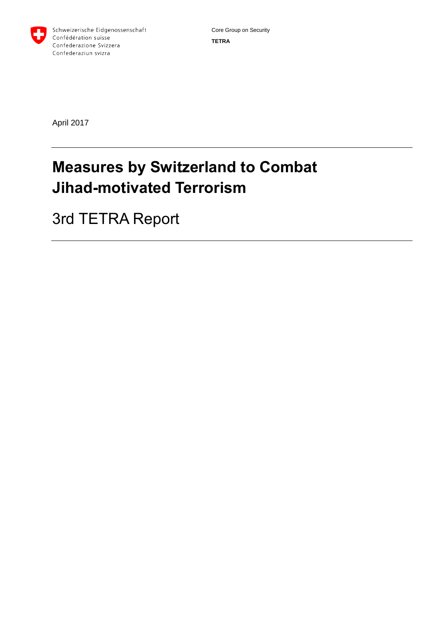

April 2017

# **Measures by Switzerland to Combat Jihad-motivated Terrorism**

3rd TETRA Report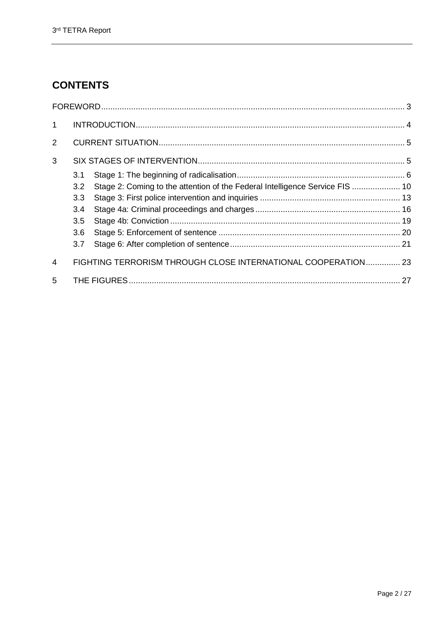# **CONTENTS**

| $\mathbf 1$    |                                                               |                                                                              |  |
|----------------|---------------------------------------------------------------|------------------------------------------------------------------------------|--|
| $\overline{2}$ |                                                               |                                                                              |  |
| 3              |                                                               |                                                                              |  |
|                | 3.1                                                           |                                                                              |  |
|                | 3.2                                                           | Stage 2: Coming to the attention of the Federal Intelligence Service FIS  10 |  |
|                | 3.3                                                           |                                                                              |  |
|                | 3.4                                                           |                                                                              |  |
|                | 3.5                                                           |                                                                              |  |
|                | 3.6                                                           |                                                                              |  |
|                | 3.7                                                           |                                                                              |  |
| $\overline{4}$ | FIGHTING TERRORISM THROUGH CLOSE INTERNATIONAL COOPERATION 23 |                                                                              |  |
| 5              |                                                               |                                                                              |  |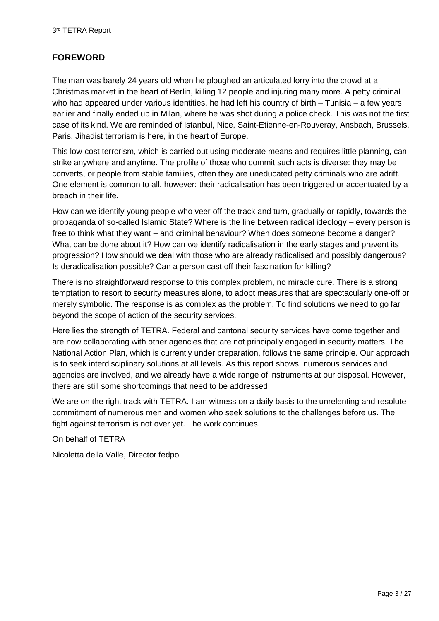# <span id="page-2-0"></span>**FOREWORD**

The man was barely 24 years old when he ploughed an articulated lorry into the crowd at a Christmas market in the heart of Berlin, killing 12 people and injuring many more. A petty criminal who had appeared under various identities, he had left his country of birth  $-$  Tunisia  $-$  a few years earlier and finally ended up in Milan, where he was shot during a police check. This was not the first case of its kind. We are reminded of Istanbul, Nice, Saint-Etienne-en-Rouveray, Ansbach, Brussels, Paris. Jihadist terrorism is here, in the heart of Europe.

This low-cost terrorism, which is carried out using moderate means and requires little planning, can strike anywhere and anytime. The profile of those who commit such acts is diverse: they may be converts, or people from stable families, often they are uneducated petty criminals who are adrift. One element is common to all, however: their radicalisation has been triggered or accentuated by a breach in their life.

How can we identify young people who veer off the track and turn, gradually or rapidly, towards the propaganda of so-called Islamic State? Where is the line between radical ideology – every person is free to think what they want – and criminal behaviour? When does someone become a danger? What can be done about it? How can we identify radicalisation in the early stages and prevent its progression? How should we deal with those who are already radicalised and possibly dangerous? Is deradicalisation possible? Can a person cast off their fascination for killing?

There is no straightforward response to this complex problem, no miracle cure. There is a strong temptation to resort to security measures alone, to adopt measures that are spectacularly one-off or merely symbolic. The response is as complex as the problem. To find solutions we need to go far beyond the scope of action of the security services.

Here lies the strength of TETRA. Federal and cantonal security services have come together and are now collaborating with other agencies that are not principally engaged in security matters. The National Action Plan, which is currently under preparation, follows the same principle. Our approach is to seek interdisciplinary solutions at all levels. As this report shows, numerous services and agencies are involved, and we already have a wide range of instruments at our disposal. However, there are still some shortcomings that need to be addressed.

We are on the right track with TETRA. I am witness on a daily basis to the unrelenting and resolute commitment of numerous men and women who seek solutions to the challenges before us. The fight against terrorism is not over yet. The work continues.

On behalf of TETRA

Nicoletta della Valle, Director fedpol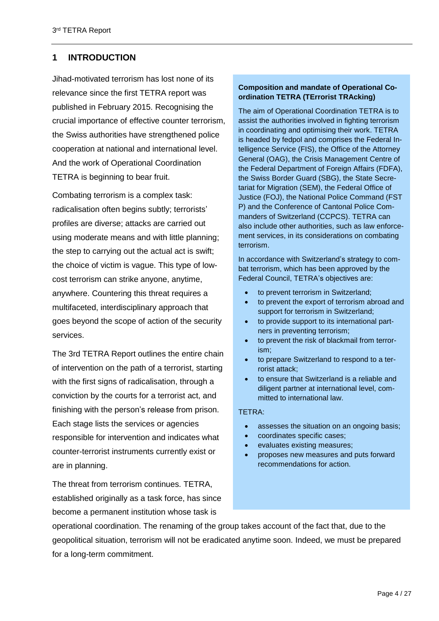# <span id="page-3-0"></span>**1 INTRODUCTION**

Jihad-motivated terrorism has lost none of its relevance since the first TETRA report was published in February 2015. Recognising the crucial importance of effective counter terrorism, the Swiss authorities have strengthened police cooperation at national and international level. And the work of Operational Coordination TETRA is beginning to bear fruit.

Combating terrorism is a complex task: radicalisation often begins subtly; terrorists' profiles are diverse; attacks are carried out using moderate means and with little planning; the step to carrying out the actual act is swift; the choice of victim is vague. This type of lowcost terrorism can strike anyone, anytime, anywhere. Countering this threat requires a multifaceted, interdisciplinary approach that goes beyond the scope of action of the security services.

The 3rd TETRA Report outlines the entire chain of intervention on the path of a terrorist, starting with the first signs of radicalisation, through a conviction by the courts for a terrorist act, and finishing with the person's release from prison. Each stage lists the services or agencies responsible for intervention and indicates what counter-terrorist instruments currently exist or are in planning.

The threat from terrorism continues. TETRA, established originally as a task force, has since become a permanent institution whose task is

# **Composition and mandate of Operational Coordination TETRA (TErrorist TRAcking)**

The aim of Operational Coordination TETRA is to assist the authorities involved in fighting terrorism in coordinating and optimising their work. TETRA is headed by fedpol and comprises the Federal Intelligence Service (FIS), the Office of the Attorney General (OAG), the Crisis Management Centre of the Federal Department of Foreign Affairs (FDFA), the Swiss Border Guard (SBG), the State Secretariat for Migration (SEM), the Federal Office of Justice (FOJ), the National Police Command (FST P) and the Conference of Cantonal Police Commanders of Switzerland (CCPCS). TETRA can also include other authorities, such as law enforcement services, in its considerations on combating terrorism.

In accordance with Switzerland's strategy to combat terrorism, which has been approved by the Federal Council, TETRA's objectives are:

- to prevent terrorism in Switzerland;
- to prevent the export of terrorism abroad and support for terrorism in Switzerland;
- to provide support to its international partners in preventing terrorism;
- to prevent the risk of blackmail from terrorism;
- to prepare Switzerland to respond to a terrorist attack;
- to ensure that Switzerland is a reliable and diligent partner at international level, committed to international law.

# TETRA:

- assesses the situation on an ongoing basis;
- coordinates specific cases;
- evaluates existing measures;
- proposes new measures and puts forward recommendations for action.

operational coordination. The renaming of the group takes account of the fact that, due to the geopolitical situation, terrorism will not be eradicated anytime soon. Indeed, we must be prepared for a long-term commitment.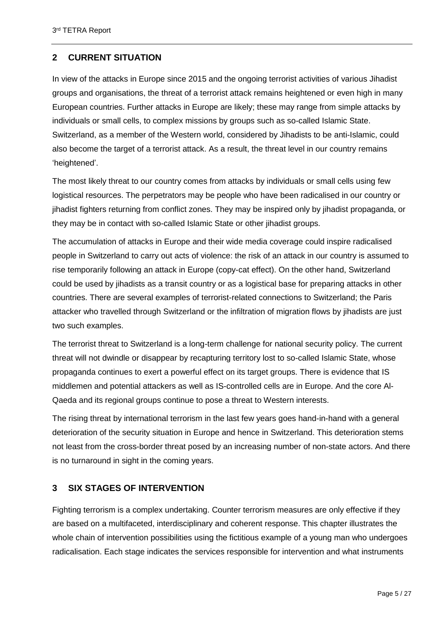# <span id="page-4-0"></span>**2 CURRENT SITUATION**

In view of the attacks in Europe since 2015 and the ongoing terrorist activities of various Jihadist groups and organisations, the threat of a terrorist attack remains heightened or even high in many European countries. Further attacks in Europe are likely; these may range from simple attacks by individuals or small cells, to complex missions by groups such as so-called Islamic State. Switzerland, as a member of the Western world, considered by Jihadists to be anti-Islamic, could also become the target of a terrorist attack. As a result, the threat level in our country remains 'heightened'.

The most likely threat to our country comes from attacks by individuals or small cells using few logistical resources. The perpetrators may be people who have been radicalised in our country or jihadist fighters returning from conflict zones. They may be inspired only by jihadist propaganda, or they may be in contact with so-called Islamic State or other jihadist groups.

The accumulation of attacks in Europe and their wide media coverage could inspire radicalised people in Switzerland to carry out acts of violence: the risk of an attack in our country is assumed to rise temporarily following an attack in Europe (copy-cat effect). On the other hand, Switzerland could be used by jihadists as a transit country or as a logistical base for preparing attacks in other countries. There are several examples of terrorist-related connections to Switzerland; the Paris attacker who travelled through Switzerland or the infiltration of migration flows by jihadists are just two such examples.

The terrorist threat to Switzerland is a long-term challenge for national security policy. The current threat will not dwindle or disappear by recapturing territory lost to so-called Islamic State, whose propaganda continues to exert a powerful effect on its target groups. There is evidence that IS middlemen and potential attackers as well as IS-controlled cells are in Europe. And the core Al-Qaeda and its regional groups continue to pose a threat to Western interests.

The rising threat by international terrorism in the last few years goes hand-in-hand with a general deterioration of the security situation in Europe and hence in Switzerland. This deterioration stems not least from the cross-border threat posed by an increasing number of non-state actors. And there is no turnaround in sight in the coming years.

# <span id="page-4-1"></span>**3 SIX STAGES OF INTERVENTION**

Fighting terrorism is a complex undertaking. Counter terrorism measures are only effective if they are based on a multifaceted, interdisciplinary and coherent response. This chapter illustrates the whole chain of intervention possibilities using the fictitious example of a young man who undergoes radicalisation. Each stage indicates the services responsible for intervention and what instruments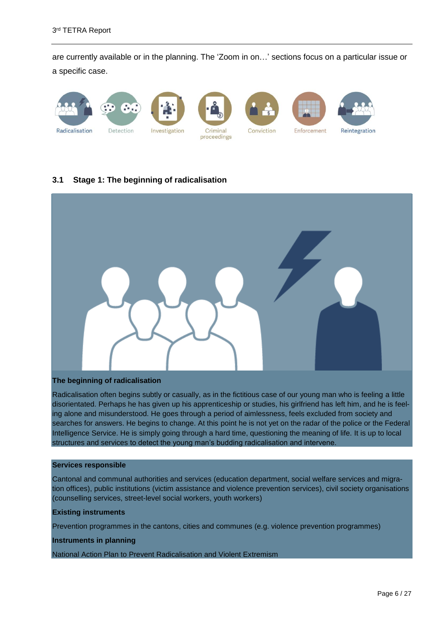are currently available or in the planning. The 'Zoom in on…' sections focus on a particular issue or a specific case.



# <span id="page-5-0"></span>**3.1 Stage 1: The beginning of radicalisation**



#### **The beginning of radicalisation**

Radicalisation often begins subtly or casually, as in the fictitious case of our young man who is feeling a little disorientated. Perhaps he has given up his apprenticeship or studies, his girlfriend has left him, and he is feeling alone and misunderstood. He goes through a period of aimlessness, feels excluded from society and searches for answers. He begins to change. At this point he is not yet on the radar of the police or the Federal Intelligence Service. He is simply going through a hard time, questioning the meaning of life. It is up to local structures and services to detect the young man's budding radicalisation and intervene.

#### **Services responsible**

Cantonal and communal authorities and services (education department, social welfare services and migration offices), public institutions (victim assistance and violence prevention services), civil society organisations (counselling services, street-level social workers, youth workers)

#### **Existing instruments**

Prevention programmes in the cantons, cities and communes (e.g. violence prevention programmes)

#### **Instruments in planning**

National Action Plan to Prevent Radicalisation and Violent Extremism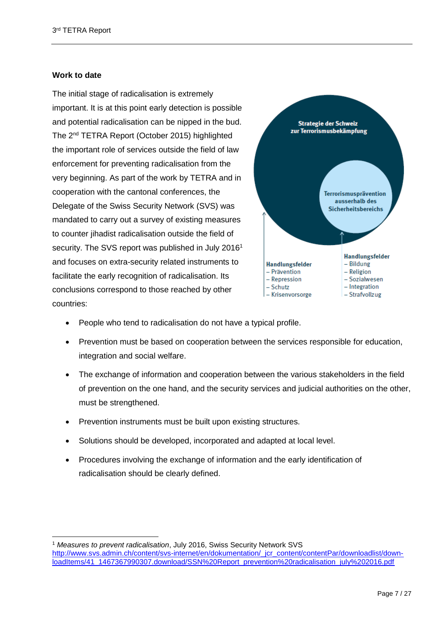# **Work to date**

 $\overline{a}$ 

The initial stage of radicalisation is extremely important. It is at this point early detection is possible and potential radicalisation can be nipped in the bud. The 2nd TETRA Report (October 2015) highlighted the important role of services outside the field of law enforcement for preventing radicalisation from the very beginning. As part of the work by TETRA and in cooperation with the cantonal conferences, the Delegate of the Swiss Security Network (SVS) was mandated to carry out a survey of existing measures to counter jihadist radicalisation outside the field of security. The SVS report was published in July 2016<sup>1</sup> and focuses on extra-security related instruments to facilitate the early recognition of radicalisation. Its conclusions correspond to those reached by other countries:



- People who tend to radicalisation do not have a typical profile.
- Prevention must be based on cooperation between the services responsible for education, integration and social welfare.
- The exchange of information and cooperation between the various stakeholders in the field of prevention on the one hand, and the security services and judicial authorities on the other, must be strengthened.
- Prevention instruments must be built upon existing structures.
- Solutions should be developed, incorporated and adapted at local level.
- Procedures involving the exchange of information and the early identification of radicalisation should be clearly defined.

<sup>1</sup> *Measures to prevent radicalisation*, July 2016, Swiss Security Network SVS [http://www.svs.admin.ch/content/svs-internet/en/dokumentation/\\_jcr\\_content/contentPar/downloadlist/down](http://www.svs.admin.ch/content/svs-internet/en/dokumentation/_jcr_content/contentPar/downloadlist/downloadItems/41_1467367990307.download/SSN%20Report_prevention%20radicalisation_july%202016.pdf)[loadItems/41\\_1467367990307.download/SSN%20Report\\_prevention%20radicalisation\\_july%202016.pdf](http://www.svs.admin.ch/content/svs-internet/en/dokumentation/_jcr_content/contentPar/downloadlist/downloadItems/41_1467367990307.download/SSN%20Report_prevention%20radicalisation_july%202016.pdf)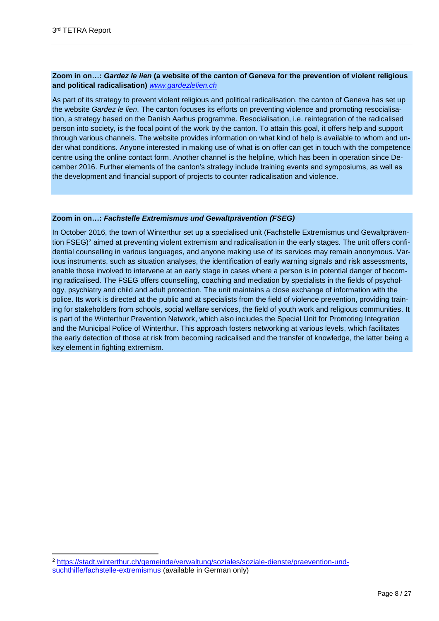# **Zoom in on…:** *Gardez le lien* **(a website of the canton of Geneva for the prevention of violent religious and political radicalisation)** *[www.gardezlelien.ch](http://www.gardezlelien.ch/)*

As part of its strategy to prevent violent religious and political radicalisation, the canton of Geneva has set up the website *Gardez le lien*. The canton focuses its efforts on preventing violence and promoting resocialisation, a strategy based on the Danish Aarhus programme. Resocialisation, i.e. reintegration of the radicalised person into society, is the focal point of the work by the canton. To attain this goal, it offers help and support through various channels. The website provides information on what kind of help is available to whom and under what conditions. Anyone interested in making use of what is on offer can get in touch with the competence centre using the online contact form. Another channel is the helpline, which has been in operation since December 2016. Further elements of the canton's strategy include training events and symposiums, as well as the development and financial support of projects to counter radicalisation and violence.

## **Zoom in on…:** *Fachstelle Extremismus und Gewaltprävention (FSEG)*

In October 2016, the town of Winterthur set up a specialised unit (Fachstelle Extremismus und Gewaltprävention FSEG)<sup>2</sup> aimed at preventing violent extremism and radicalisation in the early stages. The unit offers confidential counselling in various languages, and anyone making use of its services may remain anonymous. Various instruments, such as situation analyses, the identification of early warning signals and risk assessments, enable those involved to intervene at an early stage in cases where a person is in potential danger of becoming radicalised. The FSEG offers counselling, coaching and mediation by specialists in the fields of psychology, psychiatry and child and adult protection. The unit maintains a close exchange of information with the police. Its work is directed at the public and at specialists from the field of violence prevention, providing training for stakeholders from schools, social welfare services, the field of youth work and religious communities. It is part of the Winterthur Prevention Network, which also includes the Special Unit for Promoting Integration and the Municipal Police of Winterthur. This approach fosters networking at various levels, which facilitates the early detection of those at risk from becoming radicalised and the transfer of knowledge, the latter being a key element in fighting extremism.

<sup>2</sup> [https://stadt.winterthur.ch/gemeinde/verwaltung/soziales/soziale-dienste/praevention-und](https://stadt.winterthur.ch/gemeinde/verwaltung/soziales/soziale-dienste/praevention-und-suchthilfe/fachstelle-extremismus)[suchthilfe/fachstelle-extremismus](https://stadt.winterthur.ch/gemeinde/verwaltung/soziales/soziale-dienste/praevention-und-suchthilfe/fachstelle-extremismus) (available in German only)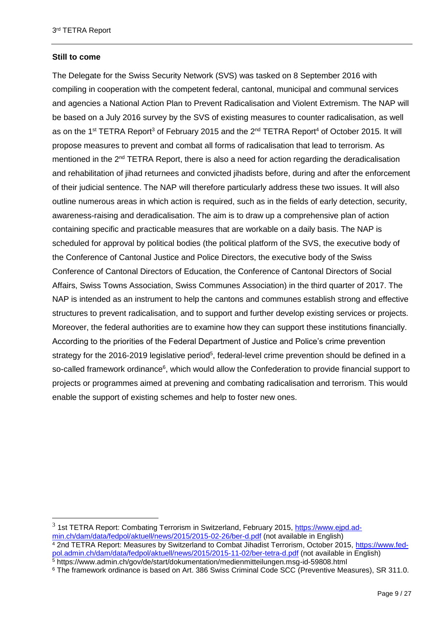# **Still to come**

The Delegate for the Swiss Security Network (SVS) was tasked on 8 September 2016 with compiling in cooperation with the competent federal, cantonal, municipal and communal services and agencies a National Action Plan to Prevent Radicalisation and Violent Extremism. The NAP will be based on a July 2016 survey by the SVS of existing measures to counter radicalisation, as well as on the 1<sup>st</sup> TETRA Report<sup>3</sup> of February 2015 and the 2<sup>nd</sup> TETRA Report<sup>4</sup> of October 2015. It will propose measures to prevent and combat all forms of radicalisation that lead to terrorism. As mentioned in the 2<sup>nd</sup> TETRA Report, there is also a need for action regarding the deradicalisation and rehabilitation of jihad returnees and convicted jihadists before, during and after the enforcement of their judicial sentence. The NAP will therefore particularly address these two issues. It will also outline numerous areas in which action is required, such as in the fields of early detection, security, awareness-raising and deradicalisation. The aim is to draw up a comprehensive plan of action containing specific and practicable measures that are workable on a daily basis. The NAP is scheduled for approval by political bodies (the political platform of the SVS, the executive body of the Conference of Cantonal Justice and Police Directors, the executive body of the Swiss Conference of Cantonal Directors of Education, the Conference of Cantonal Directors of Social Affairs, Swiss Towns Association, Swiss Communes Association) in the third quarter of 2017. The NAP is intended as an instrument to help the cantons and communes establish strong and effective structures to prevent radicalisation, and to support and further develop existing services or projects. Moreover, the federal authorities are to examine how they can support these institutions financially. According to the priorities of the Federal Department of Justice and Police's crime prevention strategy for the 2016-2019 legislative period<sup>5</sup>, federal-level crime prevention should be defined in a so-called framework ordinance<sup>6</sup>, which would allow the Confederation to provide financial support to projects or programmes aimed at prevening and combating radicalisation and terrorism. This would enable the support of existing schemes and help to foster new ones.

<sup>&</sup>lt;sup>3</sup> 1st TETRA Report: Combating Terrorism in Switzerland, February 2015, [https://www.ejpd.ad](https://www.ejpd.admin.ch/dam/data/fedpol/aktuell/news/2015/2015-02-26/ber-d.pdf)[min.ch/dam/data/fedpol/aktuell/news/2015/2015-02-26/ber-d.pdf](https://www.ejpd.admin.ch/dam/data/fedpol/aktuell/news/2015/2015-02-26/ber-d.pdf) (not available in English) <sup>4</sup> 2nd TETRA Report: Measures by Switzerland to Combat Jihadist Terrorism, October 2015, [https://www.fed](https://www.fedpol.admin.ch/dam/data/fedpol/aktuell/news/2015/2015-11-02/ber-tetra-d.pdf)[pol.admin.ch/dam/data/fedpol/aktuell/news/2015/2015-11-02/ber-tetra-d.pdf](https://www.fedpol.admin.ch/dam/data/fedpol/aktuell/news/2015/2015-11-02/ber-tetra-d.pdf) (not available in English) 5 https://www.admin.ch/gov/de/start/dokumentation/medienmitteilungen.msg-id-59808.html

<sup>6</sup> The framework ordinance is based on Art. 386 Swiss Criminal Code SCC (Preventive Measures), SR 311.0.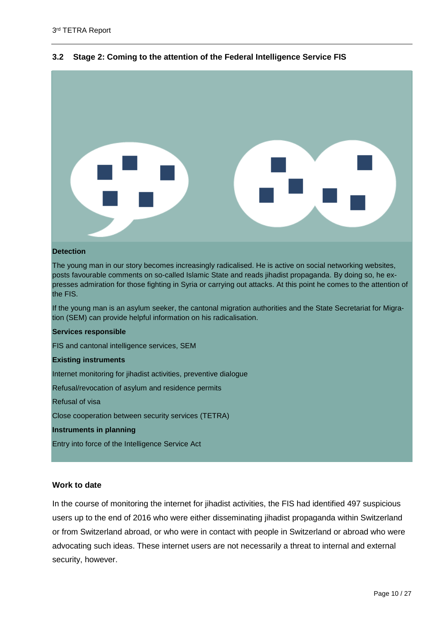

# <span id="page-9-0"></span>**3.2 Stage 2: Coming to the attention of the Federal Intelligence Service FIS**

#### **Detection**

The young man in our story becomes increasingly radicalised. He is active on social networking websites, posts favourable comments on so-called Islamic State and reads jihadist propaganda. By doing so, he expresses admiration for those fighting in Syria or carrying out attacks. At this point he comes to the attention of the FIS.

If the young man is an asylum seeker, the cantonal migration authorities and the State Secretariat for Migration (SEM) can provide helpful information on his radicalisation.

#### **Services responsible**

FIS and cantonal intelligence services, SEM

#### **Existing instruments**

Internet monitoring for jihadist activities, preventive dialogue

Refusal/revocation of asylum and residence permits

Refusal of visa

Close cooperation between security services (TETRA)

**Instruments in planning**

Entry into force of the Intelligence Service Act

# **Work to date**

In the course of monitoring the internet for jihadist activities, the FIS had identified 497 suspicious users up to the end of 2016 who were either disseminating jihadist propaganda within Switzerland or from Switzerland abroad, or who were in contact with people in Switzerland or abroad who were advocating such ideas. These internet users are not necessarily a threat to internal and external security, however.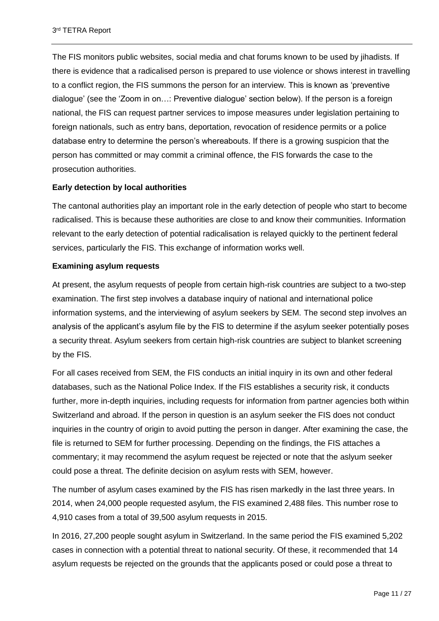The FIS monitors public websites, social media and chat forums known to be used by jihadists. If there is evidence that a radicalised person is prepared to use violence or shows interest in travelling to a conflict region, the FIS summons the person for an interview. This is known as 'preventive dialogue' (see the 'Zoom in on…: Preventive dialogue' section below). If the person is a foreign national, the FIS can request partner services to impose measures under legislation pertaining to foreign nationals, such as entry bans, deportation, revocation of residence permits or a police database entry to determine the person's whereabouts. If there is a growing suspicion that the person has committed or may commit a criminal offence, the FIS forwards the case to the prosecution authorities.

# **Early detection by local authorities**

The cantonal authorities play an important role in the early detection of people who start to become radicalised. This is because these authorities are close to and know their communities. Information relevant to the early detection of potential radicalisation is relayed quickly to the pertinent federal services, particularly the FIS. This exchange of information works well.

# **Examining asylum requests**

At present, the asylum requests of people from certain high-risk countries are subject to a two-step examination. The first step involves a database inquiry of national and international police information systems, and the interviewing of asylum seekers by SEM. The second step involves an analysis of the applicant's asylum file by the FIS to determine if the asylum seeker potentially poses a security threat. Asylum seekers from certain high-risk countries are subject to blanket screening by the FIS.

For all cases received from SEM, the FIS conducts an initial inquiry in its own and other federal databases, such as the National Police Index. If the FIS establishes a security risk, it conducts further, more in-depth inquiries, including requests for information from partner agencies both within Switzerland and abroad. If the person in question is an asylum seeker the FIS does not conduct inquiries in the country of origin to avoid putting the person in danger. After examining the case, the file is returned to SEM for further processing. Depending on the findings, the FIS attaches a commentary; it may recommend the asylum request be rejected or note that the aslyum seeker could pose a threat. The definite decision on asylum rests with SEM, however.

The number of asylum cases examined by the FIS has risen markedly in the last three years. In 2014, when 24,000 people requested asylum, the FIS examined 2,488 files. This number rose to 4,910 cases from a total of 39,500 asylum requests in 2015.

In 2016, 27,200 people sought asylum in Switzerland. In the same period the FIS examined 5,202 cases in connection with a potential threat to national security. Of these, it recommended that 14 asylum requests be rejected on the grounds that the applicants posed or could pose a threat to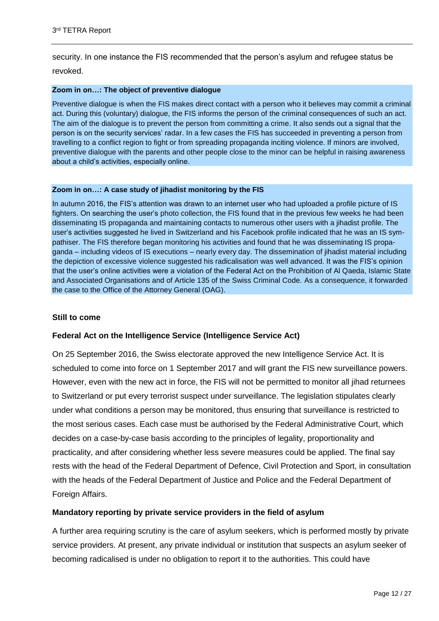security. In one instance the FIS recommended that the person's asylum and refugee status be revoked.

#### **Zoom in on…: The object of preventive dialogue**

Preventive dialogue is when the FIS makes direct contact with a person who it believes may commit a criminal act. During this (voluntary) dialogue, the FIS informs the person of the criminal consequences of such an act. The aim of the dialogue is to prevent the person from committing a crime. It also sends out a signal that the person is on the security services' radar. In a few cases the FIS has succeeded in preventing a person from travelling to a conflict region to fight or from spreading propaganda inciting violence. If minors are involved, preventive dialogue with the parents and other people close to the minor can be helpful in raising awareness about a child's activities, especially online.

## **Zoom in on…: A case study of jihadist monitoring by the FIS**

In autumn 2016, the FIS's attention was drawn to an internet user who had uploaded a profile picture of IS fighters. On searching the user's photo collection, the FIS found that in the previous few weeks he had been disseminating IS propaganda and maintaining contacts to numerous other users with a jihadist profile. The user's activities suggested he lived in Switzerland and his Facebook profile indicated that he was an IS sympathiser. The FIS therefore began monitoring his activities and found that he was disseminating IS propaganda – including videos of IS executions – nearly every day. The dissemination of jihadist material including the depiction of excessive violence suggested his radicalisation was well advanced. It was the FIS's opinion that the user's online activities were a violation of the Federal Act on the Prohibition of Al Qaeda, Islamic State and Associated Organisations and of Article 135 of the Swiss Criminal Code. As a consequence, it forwarded the case to the Office of the Attorney General (OAG).

# **Still to come**

# **Federal Act on the Intelligence Service (Intelligence Service Act)**

On 25 September 2016, the Swiss electorate approved the new Intelligence Service Act. It is scheduled to come into force on 1 September 2017 and will grant the FIS new surveillance powers. However, even with the new act in force, the FIS will not be permitted to monitor all jihad returnees to Switzerland or put every terrorist suspect under surveillance. The legislation stipulates clearly under what conditions a person may be monitored, thus ensuring that surveillance is restricted to the most serious cases. Each case must be authorised by the Federal Administrative Court, which decides on a case-by-case basis according to the principles of legality, proportionality and practicality, and after considering whether less severe measures could be applied. The final say rests with the head of the Federal Department of Defence, Civil Protection and Sport, in consultation with the heads of the Federal Department of Justice and Police and the Federal Department of Foreign Affairs.

# **Mandatory reporting by private service providers in the field of asylum**

A further area requiring scrutiny is the care of asylum seekers, which is performed mostly by private service providers. At present, any private individual or institution that suspects an asylum seeker of becoming radicalised is under no obligation to report it to the authorities. This could have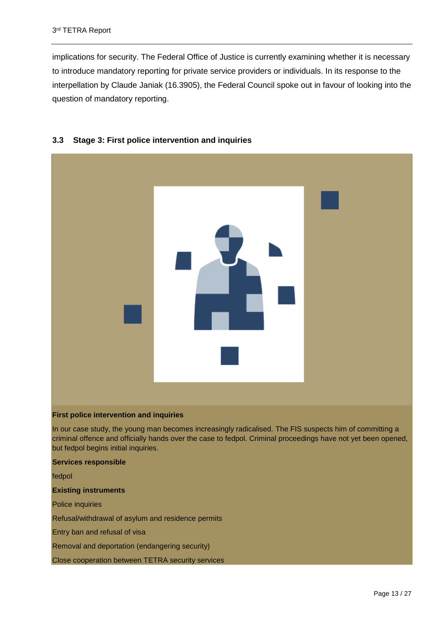implications for security. The Federal Office of Justice is currently examining whether it is necessary to introduce mandatory reporting for private service providers or individuals. In its response to the interpellation by Claude Janiak (16.3905), the Federal Council spoke out in favour of looking into the question of mandatory reporting.



# <span id="page-12-0"></span>**3.3 Stage 3: First police intervention and inquiries**

## **First police intervention and inquiries**

In our case study, the young man becomes increasingly radicalised. The FIS suspects him of committing a criminal offence and officially hands over the case to fedpol. Criminal proceedings have not yet been opened, but fedpol begins initial inquiries.

#### **Services responsible**

fedpol

#### **Existing instruments**

Police inquiries

Refusal/withdrawal of asylum and residence permits

Entry ban and refusal of visa

Removal and deportation (endangering security)

Close cooperation between TETRA security services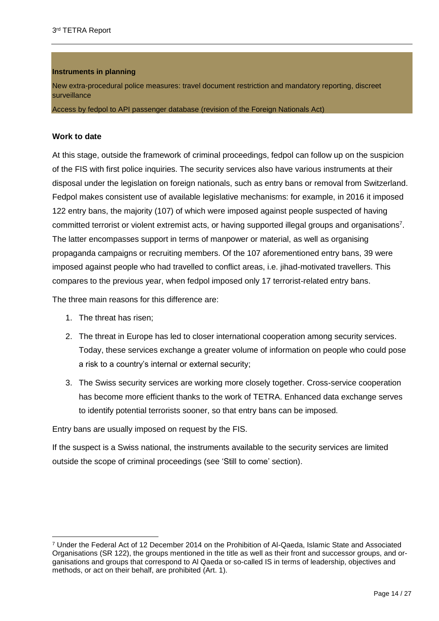# **Instruments in planning**

New extra-procedural police measures: travel document restriction and mandatory reporting, discreet surveillance

Access by fedpol to API passenger database (revision of the Foreign Nationals Act)

# **Work to date**

At this stage, outside the framework of criminal proceedings, fedpol can follow up on the suspicion of the FIS with first police inquiries. The security services also have various instruments at their disposal under the legislation on foreign nationals, such as entry bans or removal from Switzerland. Fedpol makes consistent use of available legislative mechanisms: for example, in 2016 it imposed 122 entry bans, the majority (107) of which were imposed against people suspected of having committed terrorist or violent extremist acts, or having supported illegal groups and organisations<sup>7</sup>. The latter encompasses support in terms of manpower or material, as well as organising propaganda campaigns or recruiting members. Of the 107 aforementioned entry bans, 39 were imposed against people who had travelled to conflict areas, i.e. jihad-motivated travellers. This compares to the previous year, when fedpol imposed only 17 terrorist-related entry bans.

The three main reasons for this difference are:

1. The threat has risen;

 $\overline{a}$ 

- 2. The threat in Europe has led to closer international cooperation among security services. Today, these services exchange a greater volume of information on people who could pose a risk to a country's internal or external security;
- 3. The Swiss security services are working more closely together. Cross-service cooperation has become more efficient thanks to the work of TETRA. Enhanced data exchange serves to identify potential terrorists sooner, so that entry bans can be imposed.

Entry bans are usually imposed on request by the FIS.

If the suspect is a Swiss national, the instruments available to the security services are limited outside the scope of criminal proceedings (see 'Still to come' section).

<sup>7</sup> Under the Federal Act of 12 December 2014 on the Prohibition of Al-Qaeda, Islamic State and Associated Organisations (SR 122), the groups mentioned in the title as well as their front and successor groups, and organisations and groups that correspond to Al Qaeda or so-called IS in terms of leadership, objectives and methods, or act on their behalf, are prohibited (Art. 1).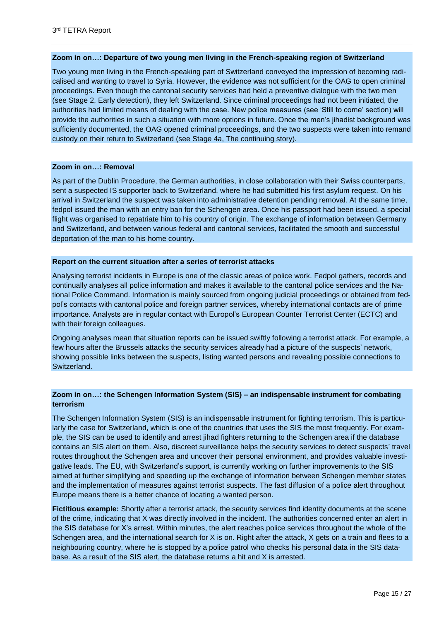#### **Zoom in on…: Departure of two young men living in the French-speaking region of Switzerland**

Two young men living in the French-speaking part of Switzerland conveyed the impression of becoming radicalised and wanting to travel to Syria. However, the evidence was not sufficient for the OAG to open criminal proceedings. Even though the cantonal security services had held a preventive dialogue with the two men (see Stage 2, Early detection), they left Switzerland. Since criminal proceedings had not been initiated, the authorities had limited means of dealing with the case. New police measures (see 'Still to come' section) will provide the authorities in such a situation with more options in future. Once the men's jihadist background was sufficiently documented, the OAG opened criminal proceedings, and the two suspects were taken into remand custody on their return to Switzerland (see Stage 4a, The continuing story).

## **Zoom in on…: Removal**

As part of the Dublin Procedure, the German authorities, in close collaboration with their Swiss counterparts, sent a suspected IS supporter back to Switzerland, where he had submitted his first asylum request. On his arrival in Switzerland the suspect was taken into administrative detention pending removal. At the same time, fedpol issued the man with an entry ban for the Schengen area. Once his passport had been issued, a special flight was organised to repatriate him to his country of origin. The exchange of information between Germany and Switzerland, and between various federal and cantonal services, facilitated the smooth and successful deportation of the man to his home country.

#### **Report on the current situation after a series of terrorist attacks**

Analysing terrorist incidents in Europe is one of the classic areas of police work. Fedpol gathers, records and continually analyses all police information and makes it available to the cantonal police services and the National Police Command. Information is mainly sourced from ongoing judicial proceedings or obtained from fedpol's contacts with cantonal police and foreign partner services, whereby international contacts are of prime importance. Analysts are in regular contact with Europol's European Counter Terrorist Center (ECTC) and with their foreign colleagues.

Ongoing analyses mean that situation reports can be issued swiftly following a terrorist attack. For example, a few hours after the Brussels attacks the security services already had a picture of the suspects' network, showing possible links between the suspects, listing wanted persons and revealing possible connections to Switzerland.

## **Zoom in on…: the Schengen Information System (SIS) – an indispensable instrument for combating terrorism**

The Schengen Information System (SIS) is an indispensable instrument for fighting terrorism. This is particularly the case for Switzerland, which is one of the countries that uses the SIS the most frequently. For example, the SIS can be used to identify and arrest jihad fighters returning to the Schengen area if the database contains an SIS alert on them. Also, discreet surveillance helps the security services to detect suspects' travel routes throughout the Schengen area and uncover their personal environment, and provides valuable investigative leads. The EU, with Switzerland's support, is currently working on further improvements to the SIS aimed at further simplifying and speeding up the exchange of information between Schengen member states and the implementation of measures against terrorist suspects. The fast diffusion of a police alert throughout Europe means there is a better chance of locating a wanted person.

**Fictitious example:** Shortly after a terrorist attack, the security services find identity documents at the scene of the crime, indicating that X was directly involved in the incident. The authorities concerned enter an alert in the SIS database for X's arrest. Within minutes, the alert reaches police services throughout the whole of the Schengen area, and the international search for X is on. Right after the attack, X gets on a train and flees to a neighbouring country, where he is stopped by a police patrol who checks his personal data in the SIS database. As a result of the SIS alert, the database returns a hit and X is arrested.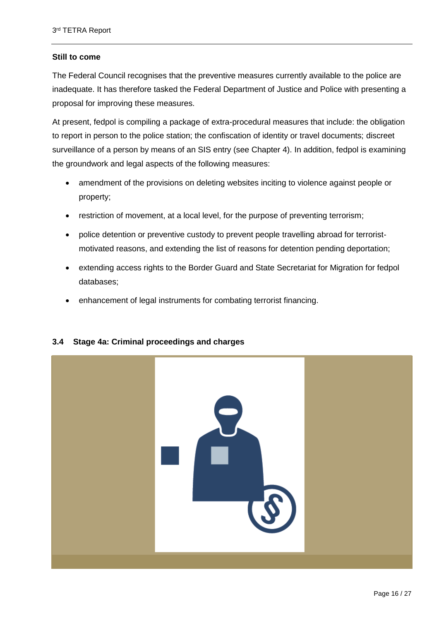# **Still to come**

The Federal Council recognises that the preventive measures currently available to the police are inadequate. It has therefore tasked the Federal Department of Justice and Police with presenting a proposal for improving these measures.

At present, fedpol is compiling a package of extra-procedural measures that include: the obligation to report in person to the police station; the confiscation of identity or travel documents; discreet surveillance of a person by means of an SIS entry (see Chapter 4). In addition, fedpol is examining the groundwork and legal aspects of the following measures:

- amendment of the provisions on deleting websites inciting to violence against people or property;
- restriction of movement, at a local level, for the purpose of preventing terrorism;
- police detention or preventive custody to prevent people travelling abroad for terroristmotivated reasons, and extending the list of reasons for detention pending deportation;
- extending access rights to the Border Guard and State Secretariat for Migration for fedpol databases;
- enhancement of legal instruments for combating terrorist financing.



# <span id="page-15-0"></span>**3.4 Stage 4a: Criminal proceedings and charges**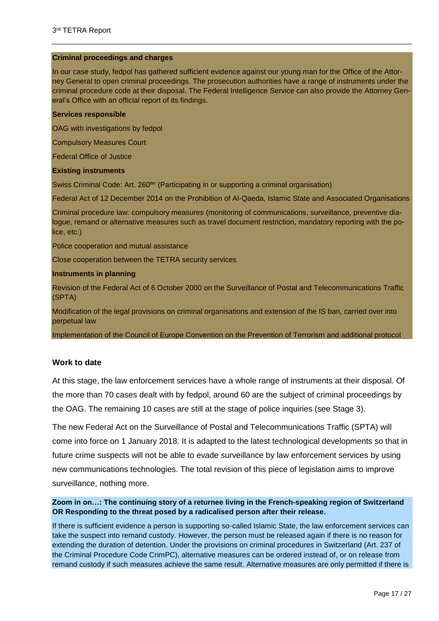#### **Criminal proceedings and charges**

In our case study, fedpol has gathered sufficient evidence against our young man for the Office of the Attorney General to open criminal proceedings. The prosecution authorities have a range of instruments under the criminal procedure code at their disposal. The Federal Intelligence Service can also provide the Attorney General's Office with an official report of its findings.

## **Services responsible**

OAG with investigations by fedpol

Compulsory Measures Court

Federal Office of Justice

## **Existing instruments**

Swiss Criminal Code: Art. 260<sup>ter</sup> (Participating in or supporting a criminal organisation)

Federal Act of 12 December 2014 on the Prohibition of Al-Qaeda, Islamic State and Associated Organisations

Criminal procedure law: compulsory measures (monitoring of communications, surveillance, preventive dialogue, remand or alternative measures such as travel document restriction, mandatory reporting with the police, etc.)

Police cooperation and mutual assistance

Close cooperation between the TETRA security services

## **Instruments in planning**

Revision of the Federal Act of 6 October 2000 on the Surveillance of Postal and Telecommunications Traffic (SPTA)

Modification of the legal provisions on criminal organisations and extension of the IS ban, carried over into perpetual law

Implementation of the Council of Europe Convention on the Prevention of Terrorism and additional protocol

# **Work to date**

At this stage, the law enforcement services have a whole range of instruments at their disposal. Of the more than 70 cases dealt with by fedpol, around 60 are the subject of criminal proceedings by the OAG. The remaining 10 cases are still at the stage of police inquiries (see Stage 3).

The new Federal Act on the Surveillance of Postal and Telecommunications Traffic (SPTA) will come into force on 1 January 2018. It is adapted to the latest technological developments so that in future crime suspects will not be able to evade surveillance by law enforcement services by using new communications technologies. The total revision of this piece of legislation aims to improve surveillance, nothing more.

# **Zoom in on…: The continuing story of a returnee living in the French-speaking region of Switzerland OR Responding to the threat posed by a radicalised person after their release.**

If there is sufficient evidence a person is supporting so-called Islamic State, the law enforcement services can take the suspect into remand custody. However, the person must be released again if there is no reason for extending the duration of detention. Under the provisions on criminal procedures in Switzerland (Art. 237 of the Criminal Procedure Code CrimPC), alternative measures can be ordered instead of, or on release from remand custody if such measures achieve the same result. Alternative measures are only permitted if there is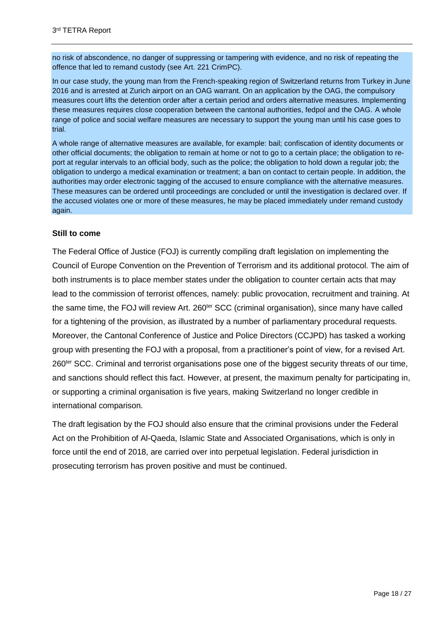no risk of abscondence, no danger of suppressing or tampering with evidence, and no risk of repeating the offence that led to remand custody (see Art. 221 CrimPC).

In our case study, the young man from the French-speaking region of Switzerland returns from Turkey in June 2016 and is arrested at Zurich airport on an OAG warrant. On an application by the OAG, the compulsory measures court lifts the detention order after a certain period and orders alternative measures. Implementing these measures requires close cooperation between the cantonal authorities, fedpol and the OAG. A whole range of police and social welfare measures are necessary to support the young man until his case goes to trial.

A whole range of alternative measures are available, for example: bail; confiscation of identity documents or other official documents; the obligation to remain at home or not to go to a certain place; the obligation to report at regular intervals to an official body, such as the police; the obligation to hold down a regular job; the obligation to undergo a medical examination or treatment; a ban on contact to certain people. In addition, the authorities may order electronic tagging of the accused to ensure compliance with the alternative measures. These measures can be ordered until proceedings are concluded or until the investigation is declared over. If the accused violates one or more of these measures, he may be placed immediately under remand custody again.

# **Still to come**

The Federal Office of Justice (FOJ) is currently compiling draft legislation on implementing the Council of Europe Convention on the Prevention of Terrorism and its additional protocol. The aim of both instruments is to place member states under the obligation to counter certain acts that may lead to the commission of terrorist offences, namely: public provocation, recruitment and training. At the same time, the FOJ will review Art. 260<sup>ter</sup> SCC (criminal organisation), since many have called for a tightening of the provision, as illustrated by a number of parliamentary procedural requests. Moreover, the Cantonal Conference of Justice and Police Directors (CCJPD) has tasked a working group with presenting the FOJ with a proposal, from a practitioner's point of view, for a revised Art. 260ter SCC. Criminal and terrorist organisations pose one of the biggest security threats of our time, and sanctions should reflect this fact. However, at present, the maximum penalty for participating in, or supporting a criminal organisation is five years, making Switzerland no longer credible in international comparison.

The draft legisation by the FOJ should also ensure that the criminal provisions under the Federal Act on the Prohibition of Al-Qaeda, Islamic State and Associated Organisations, which is only in force until the end of 2018, are carried over into perpetual legislation. Federal jurisdiction in prosecuting terrorism has proven positive and must be continued.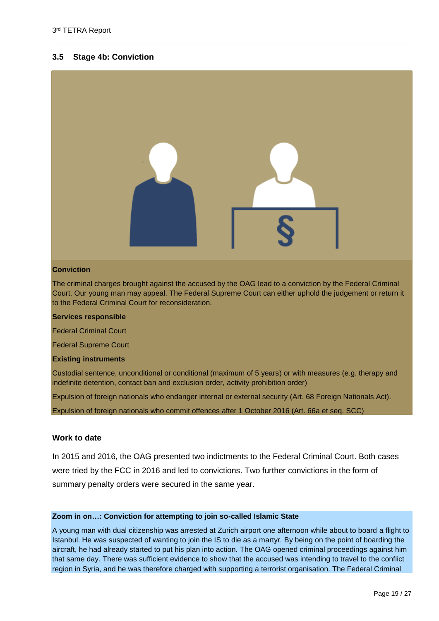# <span id="page-18-0"></span>**3.5 Stage 4b: Conviction**



#### **Conviction**

The criminal charges brought against the accused by the OAG lead to a conviction by the Federal Criminal Court. Our young man may appeal. The Federal Supreme Court can either uphold the judgement or return it to the Federal Criminal Court for reconsideration.

#### **Services responsible**

Federal Criminal Court

Federal Supreme Court

#### **Existing instruments**

Custodial sentence, unconditional or conditional (maximum of 5 years) or with measures (e.g. therapy and indefinite detention, contact ban and exclusion order, activity prohibition order)

Expulsion of foreign nationals who endanger internal or external security (Art. 68 Foreign Nationals Act).

Expulsion of foreign nationals who commit offences after 1 October 2016 (Art. 66a et seq. SCC)

## **Work to date**

In 2015 and 2016, the OAG presented two indictments to the Federal Criminal Court. Both cases were tried by the FCC in 2016 and led to convictions. Two further convictions in the form of summary penalty orders were secured in the same year.

#### **Zoom in on…: Conviction for attempting to join so-called Islamic State**

A young man with dual citizenship was arrested at Zurich airport one afternoon while about to board a flight to Istanbul. He was suspected of wanting to join the IS to die as a martyr. By being on the point of boarding the aircraft, he had already started to put his plan into action. The OAG opened criminal proceedings against him that same day. There was sufficient evidence to show that the accused was intending to travel to the conflict region in Syria, and he was therefore charged with supporting a terrorist organisation. The Federal Criminal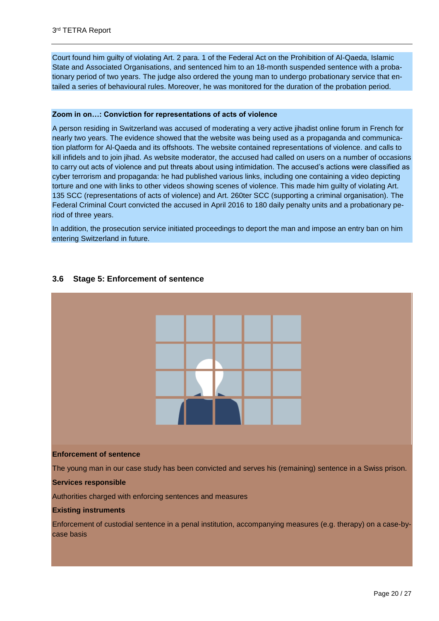Court found him guilty of violating Art. 2 para. 1 of the Federal Act on the Prohibition of Al-Qaeda, Islamic State and Associated Organisations, and sentenced him to an 18-month suspended sentence with a probationary period of two years. The judge also ordered the young man to undergo probationary service that entailed a series of behavioural rules. Moreover, he was monitored for the duration of the probation period.

#### **Zoom in on…: Conviction for representations of acts of violence**

A person residing in Switzerland was accused of moderating a very active jihadist online forum in French for nearly two years. The evidence showed that the website was being used as a propaganda and communication platform for Al-Qaeda and its offshoots. The website contained representations of violence. and calls to kill infidels and to join jihad. As website moderator, the accused had called on users on a number of occasions to carry out acts of violence and put threats about using intimidation. The accused's actions were classified as cyber terrorism and propaganda: he had published various links, including one containing a video depicting torture and one with links to other videos showing scenes of violence. This made him guilty of violating Art. 135 SCC (representations of acts of violence) and Art. 260ter SCC (supporting a criminal organisation). The Federal Criminal Court convicted the accused in April 2016 to 180 daily penalty units and a probationary period of three years.

In addition, the prosecution service initiated proceedings to deport the man and impose an entry ban on him entering Switzerland in future.

# <span id="page-19-0"></span>**3.6 Stage 5: Enforcement of sentence**



#### **Services responsible**

Authorities charged with enforcing sentences and measures

#### **Existing instruments**

Enforcement of custodial sentence in a penal institution, accompanying measures (e.g. therapy) on a case-bycase basis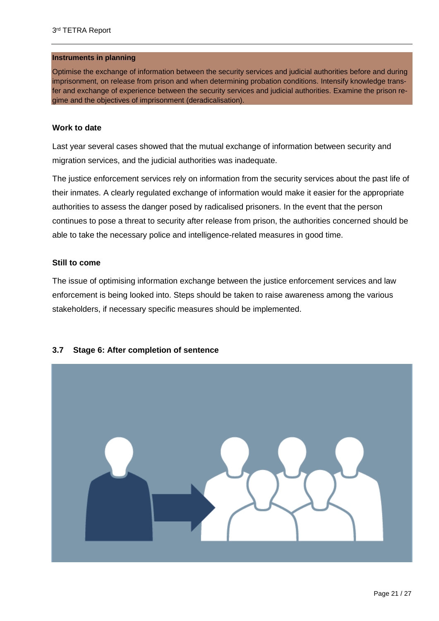## **Instruments in planning**

Optimise the exchange of information between the security services and judicial authorities before and during imprisonment, on release from prison and when determining probation conditions. Intensify knowledge transfer and exchange of experience between the security services and judicial authorities. Examine the prison regime and the objectives of imprisonment (deradicalisation).

# **Work to date**

Last year several cases showed that the mutual exchange of information between security and migration services, and the judicial authorities was inadequate.

The justice enforcement services rely on information from the security services about the past life of their inmates. A clearly regulated exchange of information would make it easier for the appropriate authorities to assess the danger posed by radicalised prisoners. In the event that the person continues to pose a threat to security after release from prison, the authorities concerned should be able to take the necessary police and intelligence-related measures in good time.

# **Still to come**

The issue of optimising information exchange between the justice enforcement services and law enforcement is being looked into. Steps should be taken to raise awareness among the various stakeholders, if necessary specific measures should be implemented.



# <span id="page-20-0"></span>**3.7 Stage 6: After completion of sentence**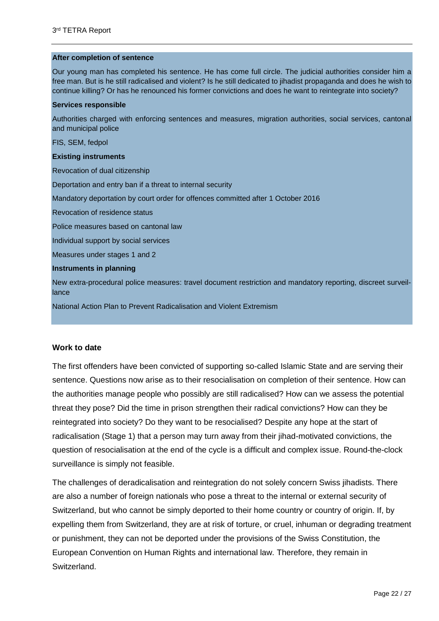#### **After completion of sentence**

Our young man has completed his sentence. He has come full circle. The judicial authorities consider him a free man. But is he still radicalised and violent? Is he still dedicated to jihadist propaganda and does he wish to continue killing? Or has he renounced his former convictions and does he want to reintegrate into society?

#### **Services responsible**

Authorities charged with enforcing sentences and measures, migration authorities, social services, cantonal and municipal police

FIS, SEM, fedpol

#### **Existing instruments**

Revocation of dual citizenship

Deportation and entry ban if a threat to internal security

Mandatory deportation by court order for offences committed after 1 October 2016

Revocation of residence status

Police measures based on cantonal law

Individual support by social services

Measures under stages 1 and 2

#### **Instruments in planning**

New extra-procedural police measures: travel document restriction and mandatory reporting, discreet surveillance

National Action Plan to Prevent Radicalisation and Violent Extremism

# **Work to date**

The first offenders have been convicted of supporting so-called Islamic State and are serving their sentence. Questions now arise as to their resocialisation on completion of their sentence. How can the authorities manage people who possibly are still radicalised? How can we assess the potential threat they pose? Did the time in prison strengthen their radical convictions? How can they be reintegrated into society? Do they want to be resocialised? Despite any hope at the start of radicalisation (Stage 1) that a person may turn away from their jihad-motivated convictions, the question of resocialisation at the end of the cycle is a difficult and complex issue. Round-the-clock surveillance is simply not feasible.

The challenges of deradicalisation and reintegration do not solely concern Swiss jihadists. There are also a number of foreign nationals who pose a threat to the internal or external security of Switzerland, but who cannot be simply deported to their home country or country of origin. If, by expelling them from Switzerland, they are at risk of torture, or cruel, inhuman or degrading treatment or punishment, they can not be deported under the provisions of the Swiss Constitution, the European Convention on Human Rights and international law. Therefore, they remain in Switzerland.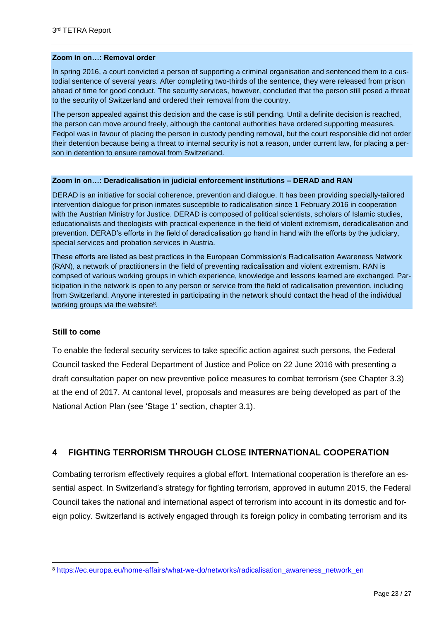# **Zoom in on…: Removal order**

In spring 2016, a court convicted a person of supporting a criminal organisation and sentenced them to a custodial sentence of several years. After completing two-thirds of the sentence, they were released from prison ahead of time for good conduct. The security services, however, concluded that the person still posed a threat to the security of Switzerland and ordered their removal from the country.

The person appealed against this decision and the case is still pending. Until a definite decision is reached, the person can move around freely, although the cantonal authorities have ordered supporting measures. Fedpol was in favour of placing the person in custody pending removal, but the court responsible did not order their detention because being a threat to internal security is not a reason, under current law, for placing a person in detention to ensure removal from Switzerland.

#### **Zoom in on…: Deradicalisation in judicial enforcement institutions – DERAD and RAN**

DERAD is an initiative for social coherence, prevention and dialogue. It has been providing specially-tailored intervention dialogue for prison inmates susceptible to radicalisation since 1 February 2016 in cooperation with the Austrian Ministry for Justice. DERAD is composed of political scientists, scholars of Islamic studies, educationalists and theologists with practical experience in the field of violent extremism, deradicalisation and prevention. DERAD's efforts in the field of deradicalisation go hand in hand with the efforts by the judiciary, special services and probation services in Austria.

These efforts are listed as best practices in the European Commission's Radicalisation Awareness Network (RAN), a network of practitioners in the field of preventing radicalisation and violent extremism. RAN is compsed of various working groups in which experience, knowledge and lessons learned are exchanged. Participation in the network is open to any person or service from the field of radicalisation prevention, including from Switzerland. Anyone interested in participating in the network should contact the head of the individual working groups via the website<sup>8</sup>.

# **Still to come**

To enable the federal security services to take specific action against such persons, the Federal Council tasked the Federal Department of Justice and Police on 22 June 2016 with presenting a draft consultation paper on new preventive police measures to combat terrorism (see Chapter 3.3) at the end of 2017. At cantonal level, proposals and measures are being developed as part of the National Action Plan (see 'Stage 1' section, chapter 3.1).

# <span id="page-22-0"></span>**4 FIGHTING TERRORISM THROUGH CLOSE INTERNATIONAL COOPERATION**

Combating terrorism effectively requires a global effort. International cooperation is therefore an essential aspect. In Switzerland's strategy for fighting terrorism, approved in autumn 2015, the Federal Council takes the national and international aspect of terrorism into account in its domestic and foreign policy. Switzerland is actively engaged through its foreign policy in combating terrorism and its

<sup>8</sup> [https://ec.europa.eu/home-affairs/what-we-do/networks/radicalisation\\_awareness\\_network\\_en](https://ec.europa.eu/home-affairs/what-we-do/networks/radicalisation_awareness_network_en)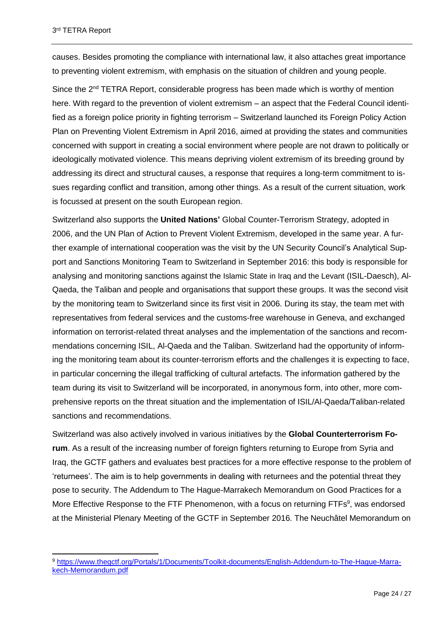causes. Besides promoting the compliance with international law, it also attaches great importance to preventing violent extremism, with emphasis on the situation of children and young people.

Since the 2<sup>nd</sup> TETRA Report, considerable progress has been made which is worthy of mention here. With regard to the prevention of violent extremism – an aspect that the Federal Council identified as a foreign police priority in fighting terrorism – Switzerland launched its Foreign Policy Action Plan on Preventing Violent Extremism in April 2016, aimed at providing the states and communities concerned with support in creating a social environment where people are not drawn to politically or ideologically motivated violence. This means depriving violent extremism of its breeding ground by addressing its direct and structural causes, a response that requires a long-term commitment to issues regarding conflict and transition, among other things. As a result of the current situation, work is focussed at present on the south European region.

Switzerland also supports the **United Nations'** Global Counter-Terrorism Strategy, adopted in 2006, and the UN Plan of Action to Prevent Violent Extremism, developed in the same year. A further example of international cooperation was the visit by the UN Security Council's Analytical Support and Sanctions Monitoring Team to Switzerland in September 2016: this body is responsible for analysing and monitoring sanctions against the Islamic State in Iraq and the Levant (ISIL-Daesch), Al-Qaeda, the Taliban and people and organisations that support these groups. It was the second visit by the monitoring team to Switzerland since its first visit in 2006. During its stay, the team met with representatives from federal services and the customs-free warehouse in Geneva, and exchanged information on terrorist-related threat analyses and the implementation of the sanctions and recommendations concerning ISIL, Al-Qaeda and the Taliban. Switzerland had the opportunity of informing the monitoring team about its counter-terrorism efforts and the challenges it is expecting to face, in particular concerning the illegal trafficking of cultural artefacts. The information gathered by the team during its visit to Switzerland will be incorporated, in anonymous form, into other, more comprehensive reports on the threat situation and the implementation of ISIL/Al-Qaeda/Taliban-related sanctions and recommendations.

Switzerland was also actively involved in various initiatives by the **Global Counterterrorism Forum**. As a result of the increasing number of foreign fighters returning to Europe from Syria and Iraq, the GCTF gathers and evaluates best practices for a more effective response to the problem of 'returnees'. The aim is to help governments in dealing with returnees and the potential threat they pose to security. The Addendum to The Hague-Marrakech Memorandum on Good Practices for a More Effective Response to the FTF Phenomenon, with a focus on returning FTFs<sup>9</sup>, was endorsed at the Ministerial Plenary Meeting of the GCTF in September 2016. The Neuchâtel Memorandum on

<sup>9</sup> [https://www.thegctf.org/Portals/1/Documents/Toolkit-documents/English-Addendum-to-The-Hague-Marra](https://www.thegctf.org/Portals/1/Documents/Toolkit-documents/English-Addendum-to-The-Hague-Marrakech-Memorandum.pdf)[kech-Memorandum.pdf](https://www.thegctf.org/Portals/1/Documents/Toolkit-documents/English-Addendum-to-The-Hague-Marrakech-Memorandum.pdf)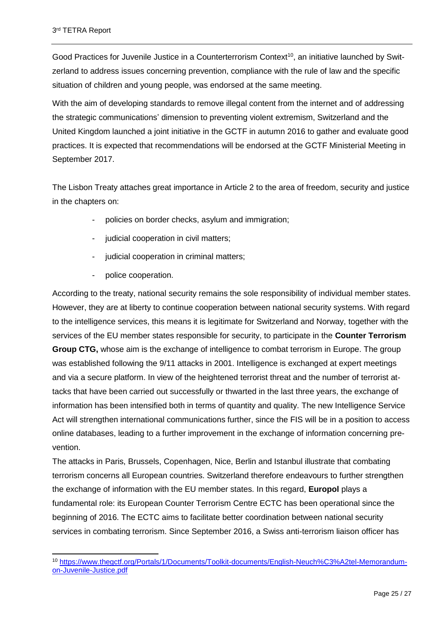Good Practices for Juvenile Justice in a Counterterrorism Context<sup>10</sup>, an initiative launched by Switzerland to address issues concerning prevention, compliance with the rule of law and the specific situation of children and young people, was endorsed at the same meeting.

With the aim of developing standards to remove illegal content from the internet and of addressing the strategic communications' dimension to preventing violent extremism, Switzerland and the United Kingdom launched a joint initiative in the GCTF in autumn 2016 to gather and evaluate good practices. It is expected that recommendations will be endorsed at the GCTF Ministerial Meeting in September 2017.

The Lisbon Treaty attaches great importance in Article 2 to the area of freedom, security and justice in the chapters on:

- policies on border checks, asylum and immigration;
- judicial cooperation in civil matters;
- judicial cooperation in criminal matters;
- police cooperation.

According to the treaty, national security remains the sole responsibility of individual member states. However, they are at liberty to continue cooperation between national security systems. With regard to the intelligence services, this means it is legitimate for Switzerland and Norway, together with the services of the EU member states responsible for security, to participate in the **Counter Terrorism Group CTG,** whose aim is the exchange of intelligence to combat terrorism in Europe. The group was established following the 9/11 attacks in 2001. Intelligence is exchanged at expert meetings and via a secure platform. In view of the heightened terrorist threat and the number of terrorist attacks that have been carried out successfully or thwarted in the last three years, the exchange of information has been intensified both in terms of quantity and quality. The new Intelligence Service Act will strengthen international communications further, since the FIS will be in a position to access online databases, leading to a further improvement in the exchange of information concerning prevention.

The attacks in Paris, Brussels, Copenhagen, Nice, Berlin and Istanbul illustrate that combating terrorism concerns all European countries. Switzerland therefore endeavours to further strengthen the exchange of information with the EU member states. In this regard, **Europol** plays a fundamental role: its European Counter Terrorism Centre ECTC has been operational since the beginning of 2016. The ECTC aims to facilitate better coordination between national security services in combating terrorism. Since September 2016, a Swiss anti-terrorism liaison officer has

<sup>10</sup> [https://www.thegctf.org/Portals/1/Documents/Toolkit-documents/English-Neuch%C3%A2tel-Memorandum](https://www.thegctf.org/Portals/1/Documents/Toolkit-documents/English-Neuch%C3%A2tel-Memorandum-on-Juvenile-Justice.pdf)[on-Juvenile-Justice.pdf](https://www.thegctf.org/Portals/1/Documents/Toolkit-documents/English-Neuch%C3%A2tel-Memorandum-on-Juvenile-Justice.pdf)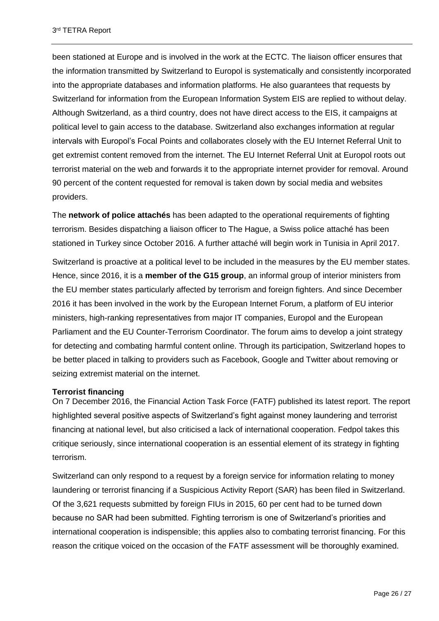been stationed at Europe and is involved in the work at the ECTC. The liaison officer ensures that the information transmitted by Switzerland to Europol is systematically and consistently incorporated into the appropriate databases and information platforms. He also guarantees that requests by Switzerland for information from the European Information System EIS are replied to without delay. Although Switzerland, as a third country, does not have direct access to the EIS, it campaigns at political level to gain access to the database. Switzerland also exchanges information at regular intervals with Europol's Focal Points and collaborates closely with the EU Internet Referral Unit to get extremist content removed from the internet. The EU Internet Referral Unit at Europol roots out terrorist material on the web and forwards it to the appropriate internet provider for removal. Around 90 percent of the content requested for removal is taken down by social media and websites providers.

The **network of police attachés** has been adapted to the operational requirements of fighting terrorism. Besides dispatching a liaison officer to The Hague, a Swiss police attaché has been stationed in Turkey since October 2016. A further attaché will begin work in Tunisia in April 2017.

Switzerland is proactive at a political level to be included in the measures by the EU member states. Hence, since 2016, it is a **member of the G15 group**, an informal group of interior ministers from the EU member states particularly affected by terrorism and foreign fighters. And since December 2016 it has been involved in the work by the European Internet Forum, a platform of EU interior ministers, high-ranking representatives from major IT companies, Europol and the European Parliament and the EU Counter-Terrorism Coordinator. The forum aims to develop a joint strategy for detecting and combating harmful content online. Through its participation, Switzerland hopes to be better placed in talking to providers such as Facebook, Google and Twitter about removing or seizing extremist material on the internet.

# **Terrorist financing**

On 7 December 2016, the Financial Action Task Force (FATF) published its latest report. The report highlighted several positive aspects of Switzerland's fight against money laundering and terrorist financing at national level, but also criticised a lack of international cooperation. Fedpol takes this critique seriously, since international cooperation is an essential element of its strategy in fighting terrorism.

Switzerland can only respond to a request by a foreign service for information relating to money laundering or terrorist financing if a Suspicious Activity Report (SAR) has been filed in Switzerland. Of the 3,621 requests submitted by foreign FIUs in 2015, 60 per cent had to be turned down because no SAR had been submitted. Fighting terrorism is one of Switzerland's priorities and international cooperation is indispensible; this applies also to combating terrorist financing. For this reason the critique voiced on the occasion of the FATF assessment will be thoroughly examined.